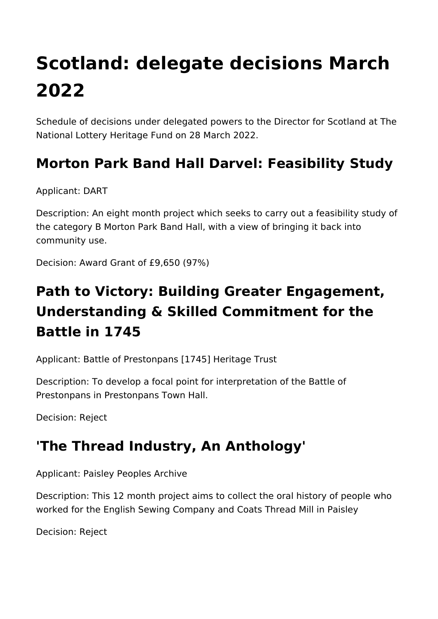# **Scotland: delegate decisions March 2022**

Schedule of decisions under delegated powers to the Director for Scotland at The National Lottery Heritage Fund on 28 March 2022.

### **Morton Park Band Hall Darvel: Feasibility Study**

Applicant: DART

Description: An eight month project which seeks to carry out a feasibility study of the category B Morton Park Band Hall, with a view of bringing it back into community use.

Decision: Award Grant of £9,650 (97%)

## **Path to Victory: Building Greater Engagement, Understanding & Skilled Commitment for the Battle in 1745**

Applicant: Battle of Prestonpans [1745] Heritage Trust

Description: To develop a focal point for interpretation of the Battle of Prestonpans in Prestonpans Town Hall.

Decision: Reject

#### **'The Thread Industry, An Anthology'**

Applicant: Paisley Peoples Archive

Description: This 12 month project aims to collect the oral history of people who worked for the English Sewing Company and Coats Thread Mill in Paisley

Decision: Reject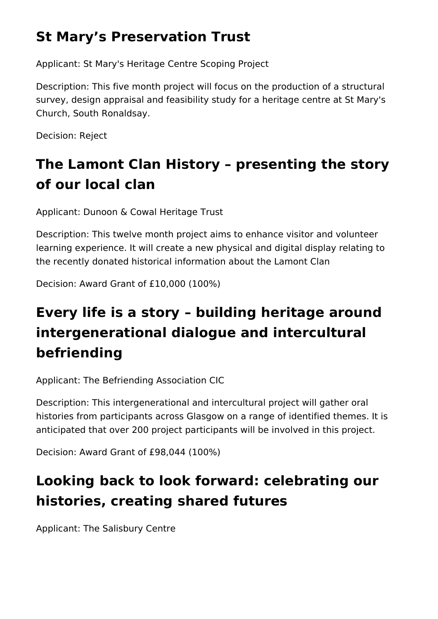## **St Mary's Preservation Trust**

Applicant: St Mary's Heritage Centre Scoping Project

Description: This five month project will focus on the production of a structural survey, design appraisal and feasibility study for a heritage centre at St Mary's Church, South Ronaldsay.

Decision: Reject

# **The Lamont Clan History – presenting the story of our local clan**

Applicant: Dunoon & Cowal Heritage Trust

Description: This twelve month project aims to enhance visitor and volunteer learning experience. It will create a new physical and digital display relating to the recently donated historical information about the Lamont Clan

Decision: Award Grant of £10,000 (100%)

# **Every life is a story – building heritage around intergenerational dialogue and intercultural befriending**

Applicant: The Befriending Association CIC

Description: This intergenerational and intercultural project will gather oral histories from participants across Glasgow on a range of identified themes. It is anticipated that over 200 project participants will be involved in this project.

Decision: Award Grant of £98,044 (100%)

## **Looking back to look forward: celebrating our histories, creating shared futures**

Applicant: The Salisbury Centre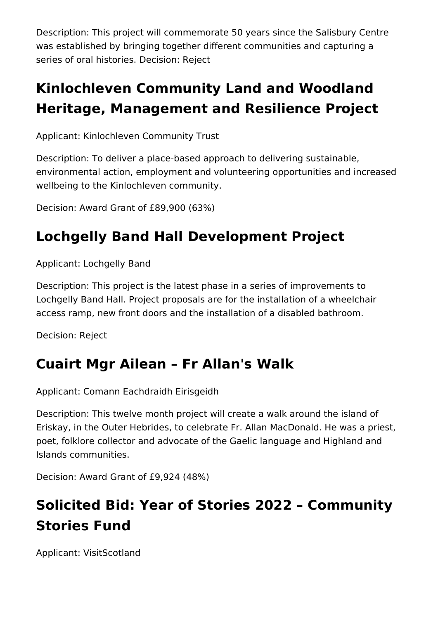Description: This project will commemorate 50 years since the Salisbury Centre was established by bringing together different communities and capturing a series of oral histories. Decision: Reject

## **Kinlochleven Community Land and Woodland Heritage, Management and Resilience Project**

Applicant: Kinlochleven Community Trust

Description: To deliver a place-based approach to delivering sustainable, environmental action, employment and volunteering opportunities and increased wellbeing to the Kinlochleven community.

Decision: Award Grant of £89,900 (63%)

### **Lochgelly Band Hall Development Project**

Applicant: Lochgelly Band

Description: This project is the latest phase in a series of improvements to Lochgelly Band Hall. Project proposals are for the installation of a wheelchair access ramp, new front doors and the installation of a disabled bathroom.

Decision: Reject

#### **Cuairt Mgr Ailean – Fr Allan's Walk**

Applicant: Comann Eachdraidh Eirisgeidh

Description: This twelve month project will create a walk around the island of Eriskay, in the Outer Hebrides, to celebrate Fr. Allan MacDonald. He was a priest, poet, folklore collector and advocate of the Gaelic language and Highland and Islands communities.

Decision: Award Grant of £9,924 (48%)

# **Solicited Bid: Year of Stories 2022 – Community Stories Fund**

Applicant: VisitScotland